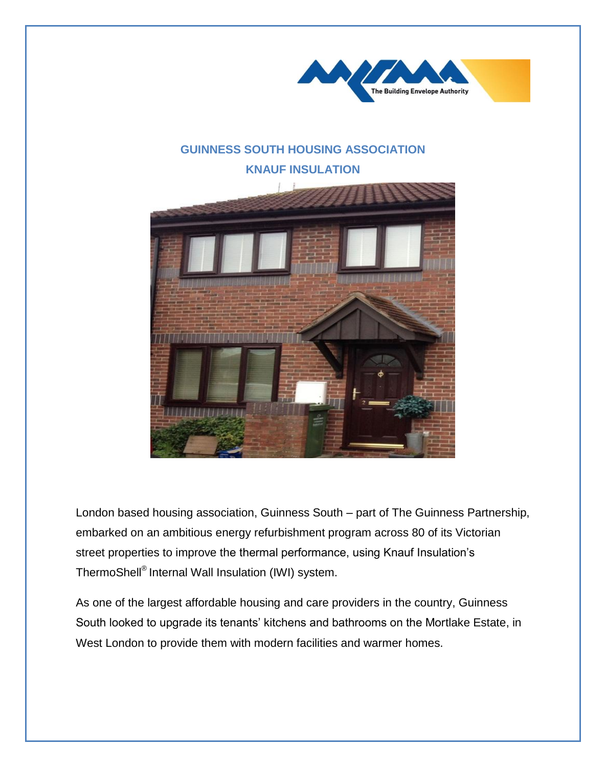

## **GUINNESS SOUTH HOUSING ASSOCIATION KNAUF INSULATION**



London based housing association, Guinness South – part of The Guinness Partnership, embarked on an ambitious energy refurbishment program across 80 of its Victorian street properties to improve the thermal performance, using Knauf Insulation's ThermoShell® Internal Wall Insulation (IWI) system.

As one of the largest affordable housing and care providers in the country, Guinness South looked to upgrade its tenants' kitchens and bathrooms on the Mortlake Estate, in West London to provide them with modern facilities and warmer homes.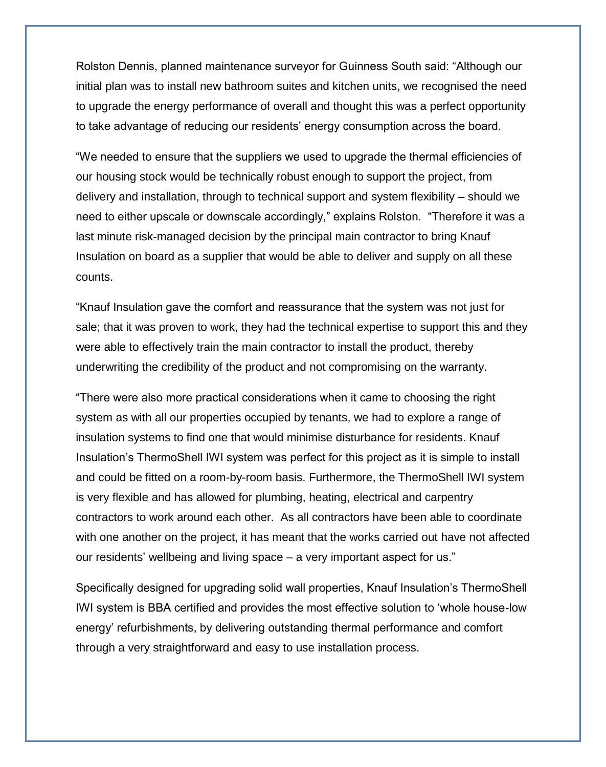Rolston Dennis, planned maintenance surveyor for Guinness South said: "Although our initial plan was to install new bathroom suites and kitchen units, we recognised the need to upgrade the energy performance of overall and thought this was a perfect opportunity to take advantage of reducing our residents' energy consumption across the board.

"We needed to ensure that the suppliers we used to upgrade the thermal efficiencies of our housing stock would be technically robust enough to support the project, from delivery and installation, through to technical support and system flexibility – should we need to either upscale or downscale accordingly," explains Rolston. "Therefore it was a last minute risk-managed decision by the principal main contractor to bring Knauf Insulation on board as a supplier that would be able to deliver and supply on all these counts.

"Knauf Insulation gave the comfort and reassurance that the system was not just for sale; that it was proven to work, they had the technical expertise to support this and they were able to effectively train the main contractor to install the product, thereby underwriting the credibility of the product and not compromising on the warranty.

"There were also more practical considerations when it came to choosing the right system as with all our properties occupied by tenants, we had to explore a range of insulation systems to find one that would minimise disturbance for residents. Knauf Insulation's ThermoShell IWI system was perfect for this project as it is simple to install and could be fitted on a room-by-room basis. Furthermore, the ThermoShell IWI system is very flexible and has allowed for plumbing, heating, electrical and carpentry contractors to work around each other. As all contractors have been able to coordinate with one another on the project, it has meant that the works carried out have not affected our residents' wellbeing and living space – a very important aspect for us."

Specifically designed for upgrading solid wall properties, Knauf Insulation's ThermoShell IWI system is BBA certified and provides the most effective solution to 'whole house-low energy' refurbishments, by delivering outstanding thermal performance and comfort through a very straightforward and easy to use installation process.